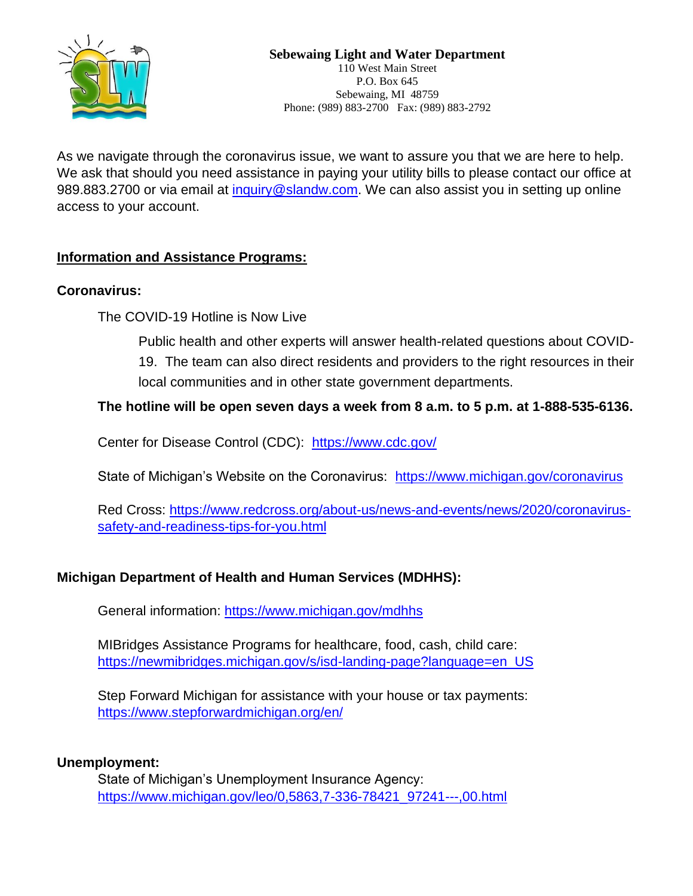

As we navigate through the coronavirus issue, we want to assure you that we are here to help. We ask that should you need assistance in paying your utility bills to please contact our office at 989.883.2700 or via email at [inquiry@slandw.com.](mailto:inquiry@slandw.com) We can also assist you in setting up online access to your account.

# **Information and Assistance Programs:**

## **Coronavirus:**

The COVID-19 Hotline is Now Live

Public health and other experts will answer health-related questions about COVID-

19. The team can also direct residents and providers to the right resources in their local communities and in other state government departments.

## **The hotline will be open seven days a week from 8 a.m. to 5 p.m. at 1-888-535-6136.**

Center for Disease Control (CDC): <https://www.cdc.gov/>

State of Michigan's Website on the Coronavirus: <https://www.michigan.gov/coronavirus>

Red Cross: [https://www.redcross.org/about-us/news-and-events/news/2020/coronavirus](https://www.redcross.org/about-us/news-and-events/news/2020/coronavirus-safety-and-readiness-tips-for-you.html)[safety-and-readiness-tips-for-you.html](https://www.redcross.org/about-us/news-and-events/news/2020/coronavirus-safety-and-readiness-tips-for-you.html)

## **Michigan Department of Health and Human Services (MDHHS):**

General information:<https://www.michigan.gov/mdhhs>

MIBridges Assistance Programs for healthcare, food, cash, child care: [https://newmibridges.michigan.gov/s/isd-landing-page?language=en\\_US](https://newmibridges.michigan.gov/s/isd-landing-page?language=en_US)

Step Forward Michigan for assistance with your house or tax payments: <https://www.stepforwardmichigan.org/en/>

## **Unemployment:**

State of Michigan's Unemployment Insurance Agency: [https://www.michigan.gov/leo/0,5863,7-336-78421\\_97241---,00.html](https://www.michigan.gov/leo/0,5863,7-336-78421_97241---,00.html)